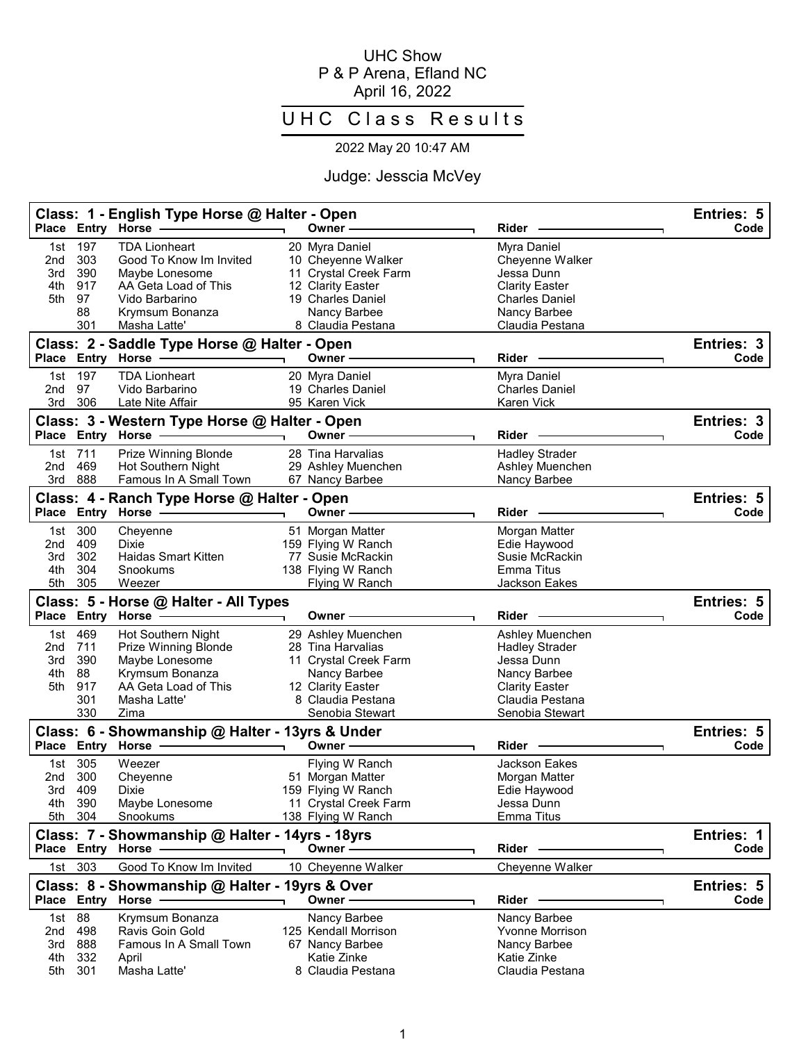## UHC Show P & P Arena, Efland NC April 16, 2022

## UHC Class Results

## 2022 May 20 10:47 AM

## Judge: Jesscia McVey

|                                 |                                              | Class: 1 - English Type Horse @ Halter - Open<br>Place Entry Horse                                                                             | Owner -                                                                                                                                       | Rider                                                                                                                                 | Entries: 5<br>Code |
|---------------------------------|----------------------------------------------|------------------------------------------------------------------------------------------------------------------------------------------------|-----------------------------------------------------------------------------------------------------------------------------------------------|---------------------------------------------------------------------------------------------------------------------------------------|--------------------|
| 1st<br>2nd<br>3rd<br>4th<br>5th | 197<br>303<br>390<br>917<br>97<br>88<br>301  | <b>TDA Lionheart</b><br>Good To Know Im Invited<br>Maybe Lonesome<br>AA Geta Load of This<br>Vido Barbarino<br>Krymsum Bonanza<br>Masha Latte' | 20 Myra Daniel<br>10 Cheyenne Walker<br>11 Crystal Creek Farm<br>12 Clarity Easter<br>19 Charles Daniel<br>Nancy Barbee<br>8 Claudia Pestana  | Myra Daniel<br>Cheyenne Walker<br>Jessa Dunn<br><b>Clarity Easter</b><br><b>Charles Daniel</b><br>Nancy Barbee<br>Claudia Pestana     |                    |
| Place                           |                                              | Class: 2 - Saddle Type Horse @ Halter - Open<br><b>Entry Horse</b>                                                                             | Owner -                                                                                                                                       | <b>Rider</b>                                                                                                                          | Entries: 3<br>Code |
| 1st<br>2nd<br>3rd               | 197<br>97<br>306                             | <b>TDA Lionheart</b><br>Vido Barbarino<br>Late Nite Affair                                                                                     | 20 Myra Daniel<br>19 Charles Daniel<br>95 Karen Vick                                                                                          | Myra Daniel<br><b>Charles Daniel</b><br>Karen Vick                                                                                    |                    |
|                                 |                                              | Class: 3 - Western Type Horse @ Halter - Open<br>Place Entry Horse                                                                             | Owner ·                                                                                                                                       | <b>Rider</b>                                                                                                                          | Entries: 3<br>Code |
| 1st<br>2nd<br>3rd               | 711<br>469<br>888                            | Prize Winning Blonde<br><b>Hot Southern Night</b><br>Famous In A Small Town                                                                    | 28 Tina Harvalias<br>29 Ashley Muenchen<br>67 Nancy Barbee                                                                                    | <b>Hadley Strader</b><br>Ashley Muenchen<br>Nancy Barbee                                                                              |                    |
|                                 |                                              | Class: 4 - Ranch Type Horse @ Halter - Open<br>Place Entry Horse                                                                               | Owner -                                                                                                                                       | Rider                                                                                                                                 | Entries: 5<br>Code |
| 1st<br>2nd<br>3rd<br>4th<br>5th | 300<br>409<br>302<br>304<br>305              | Cheyenne<br>Dixie<br><b>Haidas Smart Kitten</b><br>Snookums<br>Weezer                                                                          | 51 Morgan Matter<br>159 Flying W Ranch<br>77 Susie McRackin<br>138 Flying W Ranch<br>Flying W Ranch                                           | Morgan Matter<br>Edie Haywood<br>Susie McRackin<br>Emma Titus<br><b>Jackson Eakes</b>                                                 |                    |
|                                 |                                              | Class: 5 - Horse @ Halter - All Types<br>Place Entry Horse                                                                                     | Owner -                                                                                                                                       | Rider                                                                                                                                 | Entries: 5<br>Code |
| 1st<br>2nd<br>3rd<br>4th<br>5th | 469<br>711<br>390<br>88<br>917<br>301<br>330 | Hot Southern Night<br><b>Prize Winning Blonde</b><br>Maybe Lonesome<br>Krymsum Bonanza<br>AA Geta Load of This<br>Masha Latte'<br>Zima         | 29 Ashley Muenchen<br>28 Tina Harvalias<br>11 Crystal Creek Farm<br>Nancy Barbee<br>12 Clarity Easter<br>8 Claudia Pestana<br>Senobia Stewart | Ashley Muenchen<br><b>Hadley Strader</b><br>Jessa Dunn<br>Nancy Barbee<br><b>Clarity Easter</b><br>Claudia Pestana<br>Senobia Stewart |                    |
|                                 |                                              | Class: 6 - Showmanship @ Halter - 13yrs & Under<br>Place Entry Horse                                                                           | Owner –                                                                                                                                       | Rider                                                                                                                                 | Entries: 5<br>Code |
| 1st<br>2nd<br>4th<br>5th        | 305<br>300<br>3rd 409<br>390<br>304          | Weezer<br>Cheyenne<br>Dixie<br>Maybe Lonesome<br>Snookums                                                                                      | Flying W Ranch<br>51 Morgan Matter<br>159 Flying W Ranch<br>11 Crystal Creek Farm<br>138 Flying W Ranch                                       | <b>Jackson Eakes</b><br>Morgan Matter<br>Edie Haywood<br>Jessa Dunn<br>Emma Titus                                                     |                    |
|                                 |                                              | Class: 7 - Showmanship @ Halter - 14yrs - 18yrs<br>Place Entry Horse -                                                                         | Owner-                                                                                                                                        | Rider -                                                                                                                               | Entries: 1<br>Code |
| 1st                             | 303                                          | Good To Know Im Invited<br>Class: 8 - Showmanship @ Halter - 19yrs & Over                                                                      | 10 Cheyenne Walker                                                                                                                            | Cheyenne Walker                                                                                                                       | Entries: 5         |
|                                 |                                              | Place Entry Horse -                                                                                                                            | Owner-                                                                                                                                        | Rider                                                                                                                                 | Code               |
| 1st<br>2nd<br>3rd<br>4th<br>5th | 88<br>498<br>888<br>332<br>301               | Krymsum Bonanza<br>Ravis Goin Gold<br>Famous In A Small Town<br>April<br>Masha Latte'                                                          | Nancy Barbee<br>125 Kendall Morrison<br>67 Nancy Barbee<br>Katie Zinke<br>8 Claudia Pestana                                                   | Nancy Barbee<br><b>Yvonne Morrison</b><br>Nancy Barbee<br>Katie Zinke<br>Claudia Pestana                                              |                    |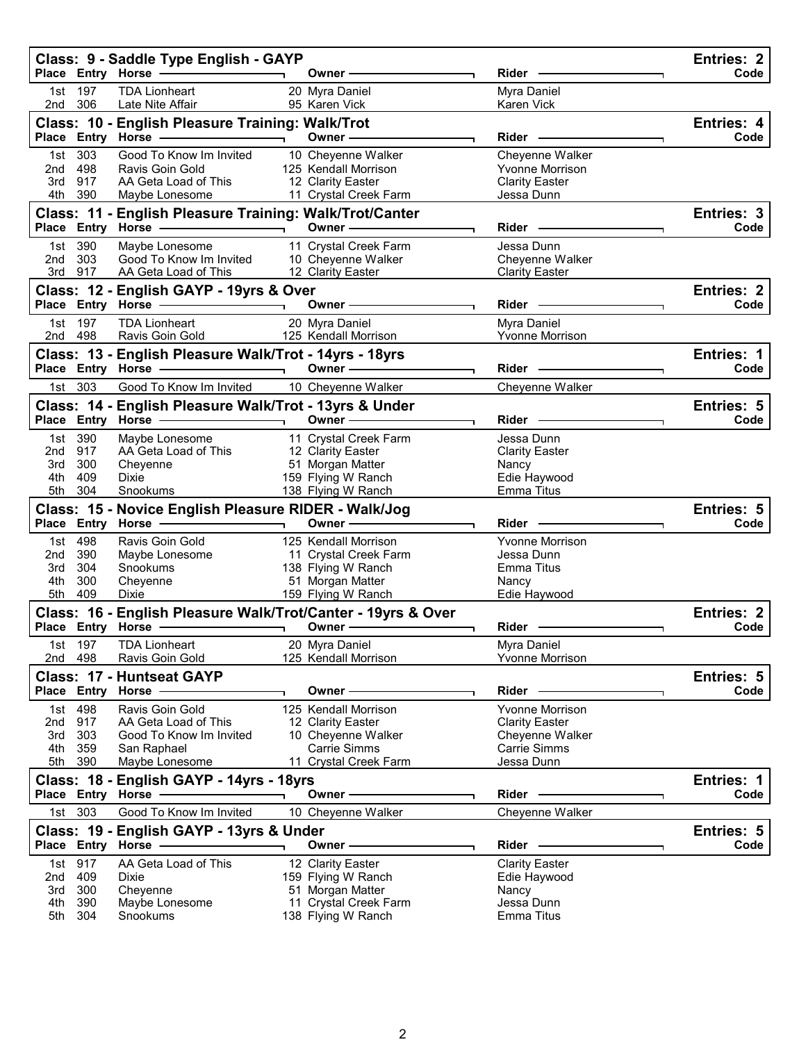|                                                                       |                   | Class: 9 - Saddle Type English - GAYP                                       |                          |                                             |                                                 | <b>Entries: 2</b>         |  |
|-----------------------------------------------------------------------|-------------------|-----------------------------------------------------------------------------|--------------------------|---------------------------------------------|-------------------------------------------------|---------------------------|--|
|                                                                       |                   | Place Entry Horse -                                                         |                          | Owner -                                     | Rider                                           | Code                      |  |
| 1st<br>2nd                                                            | 197<br>306        | <b>TDA Lionheart</b><br>Late Nite Affair                                    |                          | 20 Myra Daniel<br>95 Karen Vick             | Myra Daniel<br>Karen Vick                       |                           |  |
| Class: 10 - English Pleasure Training: Walk/Trot<br>Entries: 4        |                   |                                                                             |                          |                                             |                                                 |                           |  |
|                                                                       |                   | Place Entry Horse                                                           |                          | Owner -                                     | <b>Rider</b>                                    | Code                      |  |
| 1st                                                                   | 303               | Good To Know Im Invited                                                     |                          | 10 Cheyenne Walker                          | Cheyenne Walker                                 |                           |  |
| 2nd<br>3rd                                                            | 498<br>917        | Ravis Goin Gold<br>AA Geta Load of This                                     |                          | 125 Kendall Morrison<br>12 Clarity Easter   | <b>Yvonne Morrison</b><br><b>Clarity Easter</b> |                           |  |
| 4th                                                                   | 390               | Maybe Lonesome                                                              |                          | 11 Crystal Creek Farm                       | Jessa Dunn                                      |                           |  |
| Class: 11 - English Pleasure Training: Walk/Trot/Canter<br>Entries: 3 |                   |                                                                             |                          |                                             |                                                 |                           |  |
|                                                                       | Place Entry Horse |                                                                             | $\overline{\phantom{0}}$ | Owner -                                     | Rider -                                         | Code                      |  |
| 1st                                                                   | 390               | Maybe Lonesome                                                              |                          | 11 Crystal Creek Farm                       | Jessa Dunn                                      |                           |  |
| 2nd                                                                   | 303               | Good To Know Im Invited                                                     |                          | 10 Cheyenne Walker                          | Cheyenne Walker                                 |                           |  |
| 3rd                                                                   | 917               | AA Geta Load of This                                                        |                          | 12 Clarity Easter                           | <b>Clarity Easter</b>                           |                           |  |
|                                                                       |                   | Class: 12 - English GAYP - 19yrs & Over                                     |                          |                                             |                                                 | <b>Entries: 2</b><br>Code |  |
|                                                                       |                   | Place Entry Horse                                                           |                          | Owner -                                     | Rider -                                         |                           |  |
| 1st                                                                   | 197<br>2nd 498    | <b>TDA Lionheart</b><br>Ravis Goin Gold                                     |                          | 20 Myra Daniel<br>125 Kendall Morrison      | Myra Daniel<br>Yvonne Morrison                  |                           |  |
|                                                                       |                   | Class: 13 - English Pleasure Walk/Trot - 14yrs - 18yrs                      |                          |                                             |                                                 | <b>Entries: 1</b>         |  |
|                                                                       | Place Entry Horse |                                                                             |                          | Owner -                                     | Rider -                                         | Code                      |  |
|                                                                       | 1st 303           | Good To Know Im Invited                                                     |                          | 10 Cheyenne Walker                          | Cheyenne Walker                                 |                           |  |
|                                                                       |                   | Class: 14 - English Pleasure Walk/Trot - 13yrs & Under                      |                          |                                             |                                                 | Entries: 5                |  |
|                                                                       | Place Entry Horse |                                                                             |                          | Owner -                                     | Rider                                           | Code                      |  |
|                                                                       | 1st 390           | Maybe Lonesome                                                              |                          | 11 Crystal Creek Farm                       | Jessa Dunn                                      |                           |  |
| 2nd                                                                   | 917               | AA Geta Load of This                                                        |                          | 12 Clarity Easter                           | <b>Clarity Easter</b>                           |                           |  |
| 3rd                                                                   | 300               | Cheyenne                                                                    |                          | 51 Morgan Matter                            | Nancy                                           |                           |  |
| 4th                                                                   | 409               | <b>Dixie</b>                                                                |                          | 159 Flying W Ranch                          | Edie Haywood                                    |                           |  |
| 5th                                                                   | 304               | Snookums                                                                    |                          | 138 Flying W Ranch                          | Emma Titus                                      |                           |  |
|                                                                       |                   | Class: 15 - Novice English Pleasure RIDER - Walk/Jog<br>Place Entry Horse - |                          | Owner-                                      | Rider                                           | Entries: 5<br>Code        |  |
|                                                                       | 1st 498           | Ravis Goin Gold                                                             |                          | 125 Kendall Morrison                        | <b>Yvonne Morrison</b>                          |                           |  |
| 2nd                                                                   | 390               | Maybe Lonesome                                                              |                          | 11 Crystal Creek Farm                       | Jessa Dunn                                      |                           |  |
| 3rd                                                                   | 304               | Snookums                                                                    |                          | 138 Flying W Ranch                          | <b>Emma Titus</b>                               |                           |  |
| 4th                                                                   | 300               | Cheyenne                                                                    |                          | 51 Morgan Matter                            | Nancy                                           |                           |  |
| 5th                                                                   | 409               | Dixie                                                                       |                          | 159 Flying W Ranch                          | Edie Haywood                                    |                           |  |
|                                                                       |                   | Class: 16 - English Pleasure Walk/Trot/Canter - 19yrs & Over                |                          |                                             |                                                 | <b>Entries: 2</b>         |  |
|                                                                       |                   | Place Entry Horse -                                                         |                          | Owner-                                      | Rider                                           | Code                      |  |
| 2nd                                                                   | 1st 197<br>498    | <b>TDA Lionheart</b><br>Ravis Goin Gold                                     |                          | 20 Myra Daniel<br>125 Kendall Morrison      | Myra Daniel<br>Yvonne Morrison                  |                           |  |
|                                                                       |                   | <b>Class: 17 - Huntseat GAYP</b>                                            |                          |                                             |                                                 | Entries: 5                |  |
|                                                                       | Place Entry Horse |                                                                             |                          | Owner -                                     | Rider                                           | Code                      |  |
| 1st                                                                   | 498               | Ravis Goin Gold                                                             |                          | 125 Kendall Morrison                        | <b>Yvonne Morrison</b>                          |                           |  |
| 2nd                                                                   | 917               | AA Geta Load of This                                                        |                          | 12 Clarity Easter                           | <b>Clarity Easter</b>                           |                           |  |
| 3rd                                                                   | 303               | Good To Know Im Invited                                                     |                          | 10 Cheyenne Walker                          | Cheyenne Walker                                 |                           |  |
| 4th                                                                   | 359               | San Raphael                                                                 |                          | Carrie Simms                                | <b>Carrie Simms</b>                             |                           |  |
| 5th                                                                   | 390               | Maybe Lonesome                                                              |                          | 11 Crystal Creek Farm                       | Jessa Dunn                                      |                           |  |
|                                                                       | Place Entry Horse | Class: 18 - English GAYP - 14yrs - 18yrs                                    |                          | Owner                                       | Rider                                           | Entries: 1<br>Code        |  |
|                                                                       | 1st 303           | Good To Know Im Invited                                                     |                          |                                             | Cheyenne Walker                                 |                           |  |
|                                                                       |                   |                                                                             |                          | 10 Cheyenne Walker                          |                                                 |                           |  |
|                                                                       | Place Entry Horse | Class: 19 - English GAYP - 13yrs & Under                                    |                          | <b>Owner</b>                                | Rider                                           | Entries: 5<br>Code        |  |
| 1st                                                                   | 917               | AA Geta Load of This                                                        |                          | 12 Clarity Easter                           | <b>Clarity Easter</b>                           |                           |  |
| 2nd                                                                   | 409               | Dixie                                                                       |                          | 159 Flying W Ranch                          | Edie Haywood                                    |                           |  |
|                                                                       |                   |                                                                             |                          |                                             |                                                 |                           |  |
| 3rd                                                                   | 300               | Cheyenne                                                                    |                          | 51 Morgan Matter                            | Nancy                                           |                           |  |
| 4th<br>5th                                                            | 390<br>304        | Maybe Lonesome<br>Snookums                                                  |                          | 11 Crystal Creek Farm<br>138 Flying W Ranch | Jessa Dunn<br>Emma Titus                        |                           |  |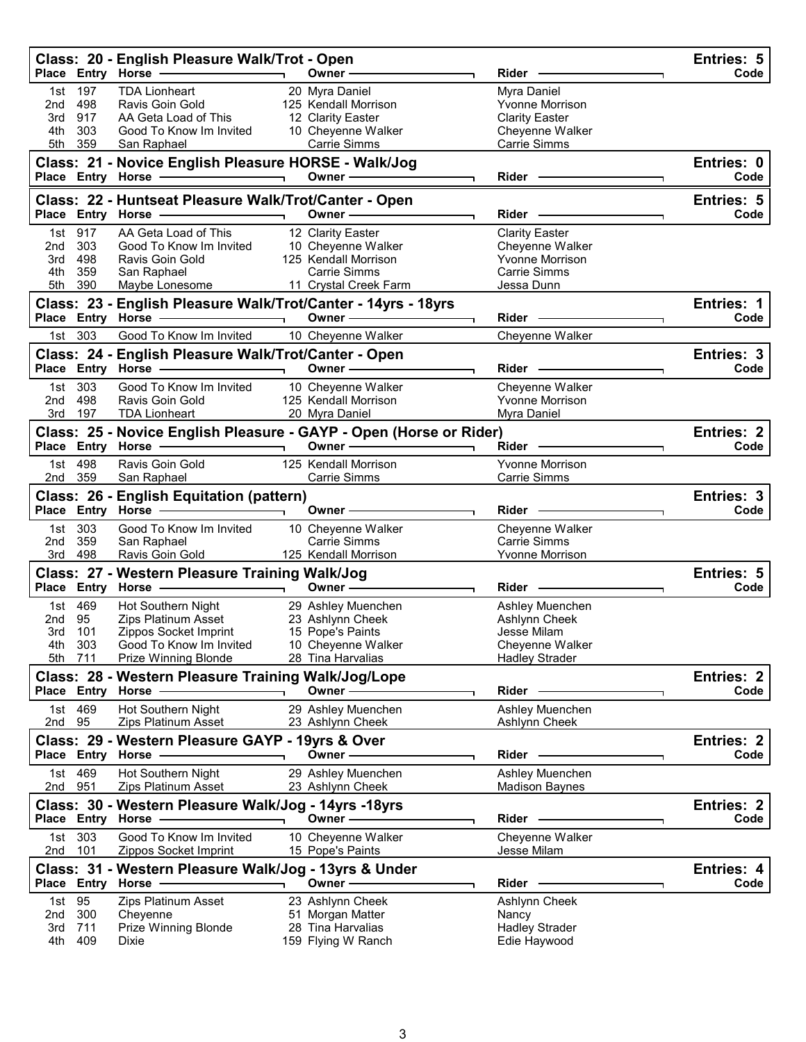|                   |                    | Class: 20 - English Pleasure Walk/Trot - Open<br>Place Entry Horse -             | Owner -                                                                                       | Rider                                     | Entries: 5<br>Code        |
|-------------------|--------------------|----------------------------------------------------------------------------------|-----------------------------------------------------------------------------------------------|-------------------------------------------|---------------------------|
| 1st<br>2nd        | 197<br>498         | <b>TDA Lionheart</b><br>Ravis Goin Gold                                          | 20 Myra Daniel<br>125 Kendall Morrison                                                        | Myra Daniel<br>Yvonne Morrison            |                           |
| 3rd               | 917                | AA Geta Load of This                                                             | 12 Clarity Easter                                                                             | <b>Clarity Easter</b>                     |                           |
| 4th<br>5th        | 303<br>359         | Good To Know Im Invited<br>San Raphael                                           | 10 Cheyenne Walker<br><b>Carrie Simms</b>                                                     | Cheyenne Walker<br><b>Carrie Simms</b>    |                           |
|                   |                    | Class: 21 - Novice English Pleasure HORSE - Walk/Jog<br>Place Entry Horse - 2000 | Owner-                                                                                        | Rider                                     | Entries: 0<br>Code        |
|                   |                    |                                                                                  |                                                                                               |                                           |                           |
|                   | Place Entry Horse  | Class: 22 - Huntseat Pleasure Walk/Trot/Canter - Open                            | Owner -                                                                                       | Rider                                     | <b>Entries: 5</b><br>Code |
| 1st               | 917                | AA Geta Load of This                                                             | 12 Clarity Easter                                                                             | <b>Clarity Easter</b>                     |                           |
| 2nd<br>3rd        | 303<br>498         | Good To Know Im Invited<br>Ravis Goin Gold                                       | 10 Cheyenne Walker<br>125 Kendall Morrison                                                    | Cheyenne Walker<br><b>Yvonne Morrison</b> |                           |
| 4th               | 359                | San Raphael                                                                      | <b>Carrie Simms</b>                                                                           | Carrie Simms                              |                           |
| 5th               | 390                | Maybe Lonesome                                                                   | 11 Crystal Creek Farm                                                                         | Jessa Dunn                                |                           |
|                   |                    | Class: 23 - English Pleasure Walk/Trot/Canter - 14yrs - 18yrs                    |                                                                                               |                                           | Entries: 1                |
|                   |                    | Place Entry Horse -                                                              | Owner-                                                                                        | Rider                                     | Code                      |
| 1st l             | 303                | Good To Know Im Invited                                                          | 10 Cheyenne Walker                                                                            | Cheyenne Walker                           |                           |
|                   |                    | Class: 24 - English Pleasure Walk/Trot/Canter - Open                             |                                                                                               |                                           | Entries: 3                |
|                   |                    | Place Entry Horse                                                                | Owner -                                                                                       | Rider -                                   | Code                      |
| 1st               | 303                | Good To Know Im Invited                                                          | 10 Cheyenne Walker                                                                            | Cheyenne Walker                           |                           |
| 2nd               | 498                | Ravis Goin Gold                                                                  | 125 Kendall Morrison                                                                          | <b>Yvonne Morrison</b>                    |                           |
| 3rd               | 197                | <b>TDA Lionheart</b>                                                             | 20 Myra Daniel                                                                                | Myra Daniel                               |                           |
|                   |                    | Place Entry Horse -                                                              | Class: 25 - Novice English Pleasure - GAYP - Open (Horse or Rider)<br>Owner $\longrightarrow$ | Rider -                                   | Entries: 2<br>Code        |
|                   | 1st 498            | Ravis Goin Gold                                                                  | 125 Kendall Morrison                                                                          | <b>Yvonne Morrison</b>                    |                           |
| 2nd               | 359                | San Raphael                                                                      | Carrie Simms                                                                                  | Carrie Simms                              |                           |
|                   |                    | Class: 26 - English Equitation (pattern)                                         |                                                                                               |                                           | Entries: 3                |
|                   |                    |                                                                                  |                                                                                               |                                           |                           |
| Place Entry Horse |                    |                                                                                  | Owner-                                                                                        | Rider                                     | Code                      |
|                   | 1st 303            | Good To Know Im Invited                                                          | 10 Cheyenne Walker                                                                            | Cheyenne Walker                           |                           |
| 2nd               | 359                | San Raphael                                                                      | <b>Carrie Simms</b>                                                                           | <b>Carrie Simms</b>                       |                           |
|                   | 3rd 498            | Ravis Goin Gold                                                                  | 125 Kendall Morrison                                                                          | <b>Yvonne Morrison</b>                    |                           |
|                   |                    | Class: 27 - Western Pleasure Training Walk/Jog                                   |                                                                                               |                                           | Entries: 5                |
|                   |                    | Place Entry Horse -                                                              | Owner-                                                                                        | Rider                                     | Code                      |
|                   | 1st 469            | Hot Southern Night                                                               | 29 Ashley Muenchen                                                                            | Ashley Muenchen                           |                           |
| 2nd               | 95                 | Zips Platinum Asset                                                              | 23 Ashlynn Cheek                                                                              | Ashlynn Cheek                             |                           |
| 3rd               | 101                | Zippos Socket Imprint                                                            | 15 Pope's Paints                                                                              | Jesse Milam                               |                           |
| 4th<br>5th        | 303<br>711         | Good To Know Im Invited<br>Prize Winning Blonde                                  | 10 Cheyenne Walker<br>28 Tina Harvalias                                                       | Cheyenne Walker<br><b>Hadley Strader</b>  |                           |
|                   |                    |                                                                                  |                                                                                               |                                           |                           |
|                   |                    | Class: 28 - Western Pleasure Training Walk/Jog/Lope<br>Place Entry Horse         | Owner-                                                                                        | <b>Rider</b>                              | Entries: 2<br>Code        |
| 1st               | 469                | Hot Southern Night                                                               | 29 Ashley Muenchen                                                                            | Ashley Muenchen                           |                           |
| 2nd               | 95                 | <b>Zips Platinum Asset</b>                                                       | 23 Ashlynn Cheek                                                                              | Ashlynn Cheek                             |                           |
|                   |                    | Class: 29 - Western Pleasure GAYP - 19yrs & Over                                 | Owner -                                                                                       | Rider                                     | <b>Entries: 2</b><br>Code |
|                   |                    | Place Entry Horse                                                                |                                                                                               |                                           |                           |
| 1st<br>2nd        | 469<br>951         | Hot Southern Night<br>Zips Platinum Asset                                        | 29 Ashley Muenchen<br>23 Ashlynn Cheek                                                        | Ashley Muenchen<br><b>Madison Baynes</b>  |                           |
|                   |                    | Class: 30 - Western Pleasure Walk/Jog - 14yrs -18yrs                             |                                                                                               |                                           | <b>Entries: 2</b>         |
|                   |                    | Place Entry Horse                                                                | Owner -                                                                                       | Rider -                                   | Code                      |
| 1st<br>2nd        | 303<br>101         | Good To Know Im Invited<br>Zippos Socket Imprint                                 | 10 Cheyenne Walker<br>15 Pope's Paints                                                        | Cheyenne Walker<br>Jesse Milam            |                           |
|                   |                    |                                                                                  |                                                                                               |                                           |                           |
|                   | <b>Place Entry</b> | Class: 31 - Western Pleasure Walk/Jog - 13yrs & Under<br>Horse ·                 | Owner -                                                                                       | Rider                                     | Entries: 4<br>Code        |
|                   |                    |                                                                                  |                                                                                               |                                           |                           |
| 1st<br>2nd        | 95<br>300          | Zips Platinum Asset<br>Cheyenne                                                  | 23 Ashlynn Cheek<br>51 Morgan Matter                                                          | Ashlynn Cheek<br>Nancy                    |                           |
| 3rd<br>4th        | 711<br>409         | Prize Winning Blonde<br>Dixie                                                    | 28 Tina Harvalias<br>159 Flying W Ranch                                                       | <b>Hadley Strader</b><br>Edie Haywood     |                           |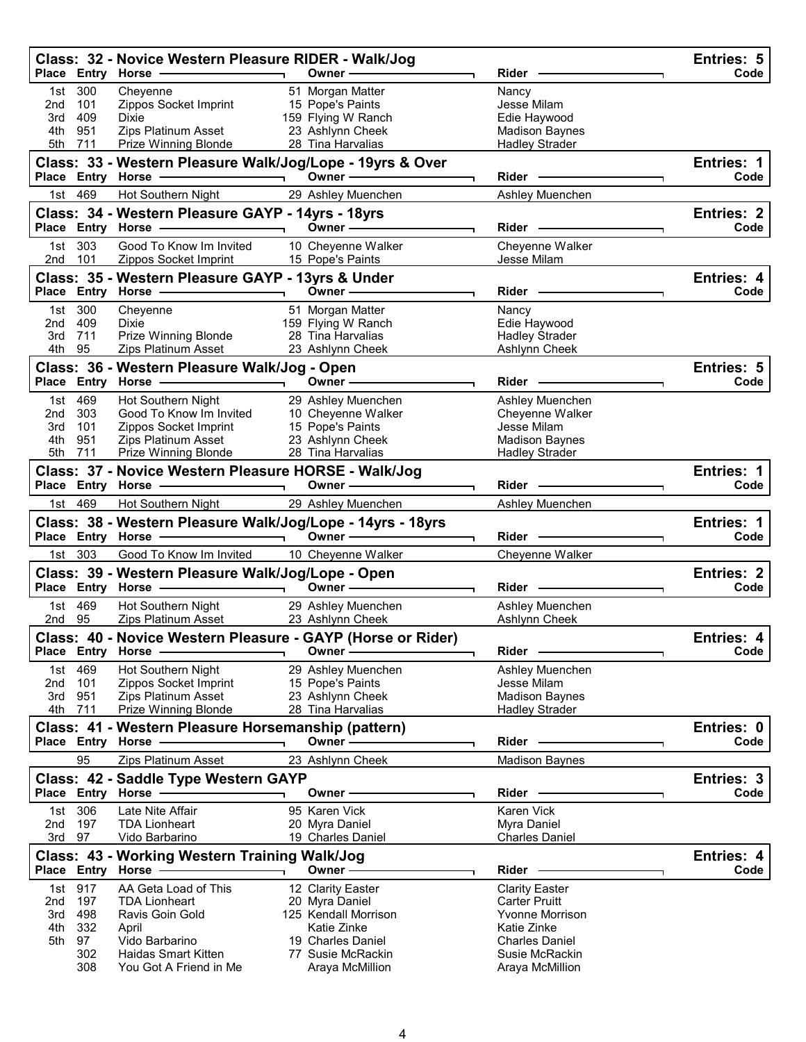|            |            | Class: 32 - Novice Western Pleasure RIDER - Walk/Jog                                                                                           |                                        |                                      | Entries: 5                |
|------------|------------|------------------------------------------------------------------------------------------------------------------------------------------------|----------------------------------------|--------------------------------------|---------------------------|
|            |            | Place Entry Horse - and Discount of the Place Entry Horse                                                                                      | Owner -                                | Rider -                              | Code                      |
| 1st<br>2nd | 300<br>101 | Cheyenne<br>Zippos Socket Imprint                                                                                                              | 51 Morgan Matter<br>15 Pope's Paints   | Nancy<br>Jesse Milam                 |                           |
| 3rd        | 409        | Dixie                                                                                                                                          | 159 Flying W Ranch                     | Edie Haywood                         |                           |
| 4th        | 951        | Zips Platinum Asset                                                                                                                            | 23 Ashlynn Cheek                       | <b>Madison Baynes</b>                |                           |
| 5th        | 711        | Prize Winning Blonde                                                                                                                           | 28 Tina Harvalias                      | <b>Hadley Strader</b>                |                           |
|            |            | Class: 33 - Western Pleasure Walk/Jog/Lope - 19yrs & Over                                                                                      |                                        |                                      | Entries: 1                |
|            |            |                                                                                                                                                | Owner-                                 | <b>Rider</b>                         | Code                      |
| 1st        | 469        | Hot Southern Night                                                                                                                             | 29 Ashley Muenchen                     | Ashley Muenchen                      |                           |
|            |            | Class: 34 - Western Pleasure GAYP - 14yrs - 18yrs<br>Place Entry Horse -                                                                       | Owner $-$                              | $Rider -$                            | <b>Entries: 2</b><br>Code |
|            |            |                                                                                                                                                |                                        |                                      |                           |
| 1st<br>2nd | 303<br>101 | Good To Know Im Invited<br>Zippos Socket Imprint                                                                                               | 10 Cheyenne Walker<br>15 Pope's Paints | Cheyenne Walker<br>Jesse Milam       |                           |
|            |            | Class: 35 - Western Pleasure GAYP - 13yrs & Under                                                                                              |                                        |                                      | Entries: 4                |
|            |            |                                                                                                                                                | Owner $\_\_$                           | Rider —                              | Code                      |
| 1st        | 300        | Cheyenne                                                                                                                                       | 51 Morgan Matter                       | Nancy                                |                           |
| 2nd        | 409        | Dixie                                                                                                                                          | 159 Flying W Ranch                     | Edie Haywood                         |                           |
| 3rd        | 711        | Prize Winning Blonde                                                                                                                           | 28 Tina Harvalias                      | <b>Hadley Strader</b>                |                           |
| 4th        | 95         | Zips Platinum Asset                                                                                                                            | 23 Ashlynn Cheek                       | Ashlynn Cheek                        |                           |
|            |            | Class: 36 - Western Pleasure Walk/Jog - Open                                                                                                   |                                        |                                      | Entries: 5                |
|            |            | Place Entry Horse -                                                                                                                            | Owner-                                 | Rider -                              | Code                      |
| 1st        | 469        | Hot Southern Night                                                                                                                             | 29 Ashley Muenchen                     | Ashley Muenchen                      |                           |
| 2nd        | 303<br>101 | Good To Know Im Invited<br>Zippos Socket Imprint                                                                                               | 10 Cheyenne Walker<br>15 Pope's Paints | Cheyenne Walker<br>Jesse Milam       |                           |
| 3rd<br>4th | 951        | Zips Platinum Asset                                                                                                                            | 23 Ashlynn Cheek                       | <b>Madison Baynes</b>                |                           |
| 5th        | 711        | Prize Winning Blonde                                                                                                                           | 28 Tina Harvalias                      | <b>Hadley Strader</b>                |                           |
|            |            | Class: 37 - Novice Western Pleasure HORSE - Walk/Jog                                                                                           |                                        |                                      | Entries: 1                |
|            |            | Place Entry Horse - and Discount of the Place Entry Horse                                                                                      | Owner $\longrightarrow$                | Rider -                              | Code                      |
|            | 1st 469    | Hot Southern Night                                                                                                                             | 29 Ashley Muenchen                     | Ashley Muenchen                      |                           |
|            |            |                                                                                                                                                |                                        |                                      |                           |
|            |            |                                                                                                                                                |                                        |                                      |                           |
|            |            | Class: 38 - Western Pleasure Walk/Jog/Lope - 14yrs - 18yrs<br>Place Entry Horse - and the manufacturer of the Marian Place of the Marian Place | Owner $\longrightarrow$                | Rider                                | <b>Entries: 1</b><br>Code |
|            | 1st 303    | Good To Know Im Invited                                                                                                                        | 10 Cheyenne Walker                     | Cheyenne Walker                      |                           |
|            |            |                                                                                                                                                |                                        |                                      | <b>Entries: 2</b>         |
|            |            | Class: 39 - Western Pleasure Walk/Jog/Lope - Open<br>Place Entry Horse - The Manager                                                           | Owner $\qquad$                         | Rider —                              | Code                      |
|            | 1st 469    | Hot Southern Night                                                                                                                             | 29 Ashley Muenchen                     | Ashley Muenchen                      |                           |
| 2nd 95     |            | Zips Platinum Asset                                                                                                                            | 23 Ashlynn Cheek                       | Ashlynn Cheek                        |                           |
|            |            | Class: 40 - Novice Western Pleasure - GAYP (Horse or Rider)                                                                                    |                                        |                                      | Entries: 4                |
|            |            | Place Entry Horse                                                                                                                              | Owner -                                | Rider                                | Code                      |
| 1st        | 469        | Hot Southern Night                                                                                                                             | 29 Ashley Muenchen                     | Ashley Muenchen                      |                           |
| 2nd        | 101        | Zippos Socket Imprint                                                                                                                          | 15 Pope's Paints                       | Jesse Milam                          |                           |
| 3rd        | 951        | Zips Platinum Asset                                                                                                                            | 23 Ashlynn Cheek<br>28 Tina Harvalias  | <b>Madison Baynes</b>                |                           |
| 4th        | 711        | Prize Winning Blonde                                                                                                                           |                                        | <b>Hadley Strader</b>                |                           |
|            |            | Class: 41 - Western Pleasure Horsemanship (pattern)<br>Place Entry Horse -                                                                     | Owner-                                 | Rider -                              | Entries: 0<br>Code        |
|            | 95         | <b>Zips Platinum Asset</b>                                                                                                                     | 23 Ashlynn Cheek                       | <b>Madison Baynes</b>                |                           |
|            |            |                                                                                                                                                |                                        |                                      |                           |
|            |            | Class: 42 - Saddle Type Western GAYP<br>Place Entry Horse -                                                                                    | Owner-                                 | Rider -                              | Entries: 3<br>Code        |
| 1st        | 306        | Late Nite Affair                                                                                                                               | 95 Karen Vick                          | Karen Vick                           |                           |
| 2nd        | 197        | <b>TDA Lionheart</b>                                                                                                                           | 20 Myra Daniel                         | Myra Daniel                          |                           |
| 3rd 97     |            | Vido Barbarino                                                                                                                                 | 19 Charles Daniel                      | <b>Charles Daniel</b>                |                           |
|            |            | Class: 43 - Working Western Training Walk/Jog                                                                                                  |                                        |                                      | Entries: 4                |
|            |            | Place Entry Horse                                                                                                                              | Owner -                                | Rider                                | Code                      |
| 1st        | 917        | AA Geta Load of This                                                                                                                           | 12 Clarity Easter                      | <b>Clarity Easter</b>                |                           |
| 2nd        | 197        | <b>TDA Lionheart</b>                                                                                                                           | 20 Myra Daniel                         | <b>Carter Pruitt</b>                 |                           |
| 3rd        | 498        | Ravis Goin Gold                                                                                                                                | 125 Kendall Morrison                   | <b>Yvonne Morrison</b>               |                           |
| 4th<br>5th | 332<br>97  | April                                                                                                                                          | Katie Zinke<br>19 Charles Daniel       | Katie Zinke<br><b>Charles Daniel</b> |                           |
|            | 302<br>308 | Vido Barbarino<br><b>Haidas Smart Kitten</b><br>You Got A Friend in Me                                                                         | 77 Susie McRackin<br>Araya McMillion   | Susie McRackin<br>Araya McMillion    |                           |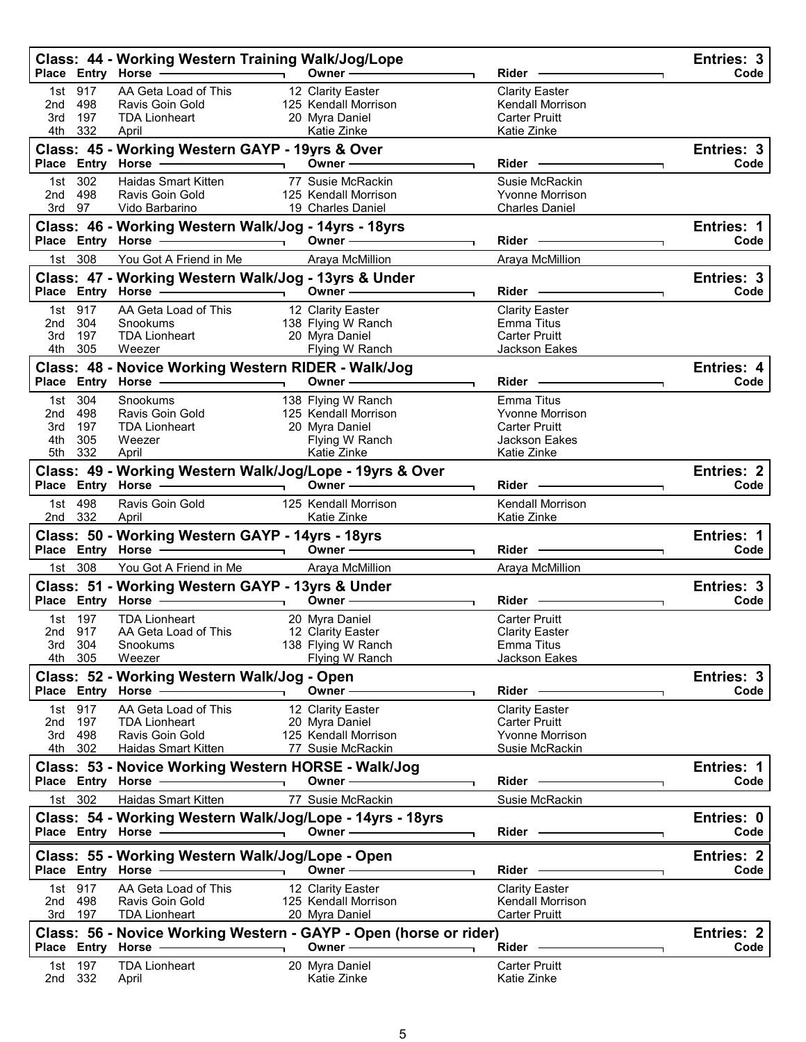|              |                | Class: 44 - Working Western Training Walk/Jog/Lope                    |                                                                             |                                           | Entries: 3                |
|--------------|----------------|-----------------------------------------------------------------------|-----------------------------------------------------------------------------|-------------------------------------------|---------------------------|
|              |                | Place Entry Horse -<br>$\overline{\phantom{a}}$                       | Owner -                                                                     | Rider                                     | Code                      |
| 1st<br>2nd   | 917<br>498     | AA Geta Load of This<br>Ravis Goin Gold                               | 12 Clarity Easter<br>125 Kendall Morrison                                   | <b>Clarity Easter</b><br>Kendall Morrison |                           |
| 3rd          | 197            | <b>TDA Lionheart</b>                                                  | 20 Myra Daniel                                                              | <b>Carter Pruitt</b>                      |                           |
| 4th          | 332            | April                                                                 | Katie Zinke                                                                 | Katie Zinke                               |                           |
|              |                | Class: 45 - Working Western GAYP - 19yrs & Over                       |                                                                             |                                           | Entries: 3                |
|              |                | Place Entry Horse -                                                   | Owner-                                                                      | Rider -                                   | Code                      |
| 1st -        | 302            | Haidas Smart Kitten                                                   | 77 Susie McRackin                                                           | Susie McRackin                            |                           |
| 2nd          | 498            | Ravis Goin Gold                                                       | 125 Kendall Morrison                                                        | <b>Yvonne Morrison</b>                    |                           |
| 3rd 97       |                | Vido Barbarino                                                        | 19 Charles Daniel                                                           | <b>Charles Daniel</b>                     |                           |
|              |                | Class: 46 - Working Western Walk/Jog - 14yrs - 18yrs                  | Owner $\overline{\phantom{iiiiiiiiiiiiiiiii}}$                              | Rider -                                   | Entries: 1<br>Code        |
|              | 1st 308        | You Got A Friend in Me                                                | Araya McMillion                                                             | Araya McMillion                           |                           |
|              |                | Class: 47 - Working Western Walk/Jog - 13yrs & Under                  |                                                                             |                                           | Entries: 3                |
|              |                | Place Entry Horse                                                     | Owner-<br>$\overline{\phantom{0}}$                                          | Rider -                                   | Code                      |
| 1st          | 917            | AA Geta Load of This                                                  | 12 Clarity Easter                                                           | <b>Clarity Easter</b>                     |                           |
| 2nd          | 304            | Snookums                                                              | 138 Flying W Ranch                                                          | Emma Titus                                |                           |
| 3rd          | 197            | <b>TDA Lionheart</b>                                                  | 20 Myra Daniel                                                              | <b>Carter Pruitt</b>                      |                           |
|              | 4th 305        | Weezer                                                                | Flying W Ranch                                                              | Jackson Eakes                             |                           |
|              |                | Class: 48 - Novice Working Western RIDER - Walk/Jog                   |                                                                             |                                           | <b>Entries: 4</b>         |
|              |                | Place Entry Horse -                                                   | Owner-                                                                      | <b>Rider</b>                              | Code                      |
|              | 1st 304        | Snookums                                                              | 138 Flying W Ranch                                                          | Emma Titus                                |                           |
| 2nd<br>3rd   | 498<br>- 197   | Ravis Goin Gold<br><b>TDA Lionheart</b>                               | 125 Kendall Morrison<br>20 Myra Daniel                                      | <b>Yvonne Morrison</b><br>Carter Pruitt   |                           |
| 4th          | 305            | Weezer                                                                | Flying W Ranch                                                              | <b>Jackson Eakes</b>                      |                           |
|              | 5th 332        | April                                                                 | Katie Zinke                                                                 | Katie Zinke                               |                           |
|              |                |                                                                       | Class: 49 - Working Western Walk/Jog/Lope - 19yrs & Over                    |                                           | <b>Entries: 2</b>         |
|              |                | Place Entry Horse --                                                  | Owner $\overline{\phantom{nnn}}$                                            | <b>Rider</b>                              | Code                      |
|              | 1st 498        | Ravis Goin Gold                                                       | 125 Kendall Morrison                                                        | <b>Kendall Morrison</b>                   |                           |
| 2nd 332      |                | April                                                                 | Katie Zinke                                                                 | Katie Zinke                               |                           |
|              |                | Class: 50 - Working Western GAYP - 14yrs - 18yrs                      |                                                                             |                                           |                           |
|              |                |                                                                       |                                                                             |                                           | Entries: 1                |
|              |                | Place Entry Horse - 2000                                              | Owner $\longrightarrow$                                                     | Rider -                                   | Code                      |
|              | 1st 308        | You Got A Friend in Me                                                | Araya McMillion                                                             | Araya McMillion                           |                           |
|              |                | Class: 51 - Working Western GAYP - 13yrs & Under                      |                                                                             |                                           | <b>Entries: 3</b>         |
|              |                | Place Entry Horse - 1999                                              | Owner —                                                                     | Rider                                     | Code                      |
| 1st.         | 197            | <b>TDA Lionheart</b>                                                  | 20 Myra Daniel                                                              | <b>Carter Pruitt</b>                      |                           |
|              | 2nd 917        | AA Geta Load of This                                                  | 12 Clarity Easter                                                           | <b>Clarity Easter</b>                     |                           |
| 3rd          | 304<br>4th 305 | Snookums<br>Weezer                                                    | 138 Flying W Ranch<br>Flying W Ranch                                        | Emma Titus<br>Jackson Eakes               |                           |
|              |                |                                                                       |                                                                             |                                           |                           |
|              |                | Class: 52 - Working Western Walk/Jog - Open<br>Place Entry Horse      | Owner -                                                                     | Rider                                     | Entries: 3<br>Code        |
| 1st          | 917            | AA Geta Load of This                                                  | 12 Clarity Easter                                                           | <b>Clarity Easter</b>                     |                           |
| 2nd          | 197            | <b>TDA Lionheart</b>                                                  | 20 Myra Daniel                                                              | <b>Carter Pruitt</b>                      |                           |
| 3rd          | 498            | Ravis Goin Gold                                                       | 125 Kendall Morrison                                                        | <b>Yvonne Morrison</b>                    |                           |
| 4th          | 302            | Haidas Smart Kitten                                                   | 77 Susie McRackin                                                           | Susie McRackin                            |                           |
|              |                | Class: 53 - Novice Working Western HORSE - Walk/Jog                   |                                                                             |                                           | Entries: 1                |
|              |                | Place Entry Horse                                                     | Owner -                                                                     | Rider                                     | Code                      |
|              | 1st 302        | <b>Haidas Smart Kitten</b>                                            | 77 Susie McRackin                                                           | Susie McRackin                            |                           |
|              |                | Class: 54 - Working Western Walk/Jog/Lope - 14yrs - 18yrs             |                                                                             |                                           | Entries: 0                |
|              |                | Place Entry Horse -                                                   | Owner-                                                                      | Rider -                                   | Code                      |
|              |                | Class: 55 - Working Western Walk/Jog/Lope - Open<br>Place Entry Horse | Owner -                                                                     | Rider                                     | <b>Entries: 2</b><br>Code |
|              |                |                                                                       |                                                                             |                                           |                           |
| 1st l<br>2nd | 917<br>498     | AA Geta Load of This<br>Ravis Goin Gold                               | 12 Clarity Easter<br>125 Kendall Morrison                                   | <b>Clarity Easter</b><br>Kendall Morrison |                           |
| 3rd          | 197            | <b>TDA Lionheart</b>                                                  | 20 Myra Daniel                                                              | <b>Carter Pruitt</b>                      |                           |
|              |                |                                                                       |                                                                             |                                           | <b>Entries: 2</b>         |
|              |                | Place Entry Horse                                                     | Class: 56 - Novice Working Western - GAYP - Open (horse or rider)<br>Owner- | Rider -                                   | Code                      |
| 1st          | 197<br>2nd 332 | <b>TDA Lionheart</b>                                                  | 20 Myra Daniel                                                              | <b>Carter Pruitt</b>                      |                           |